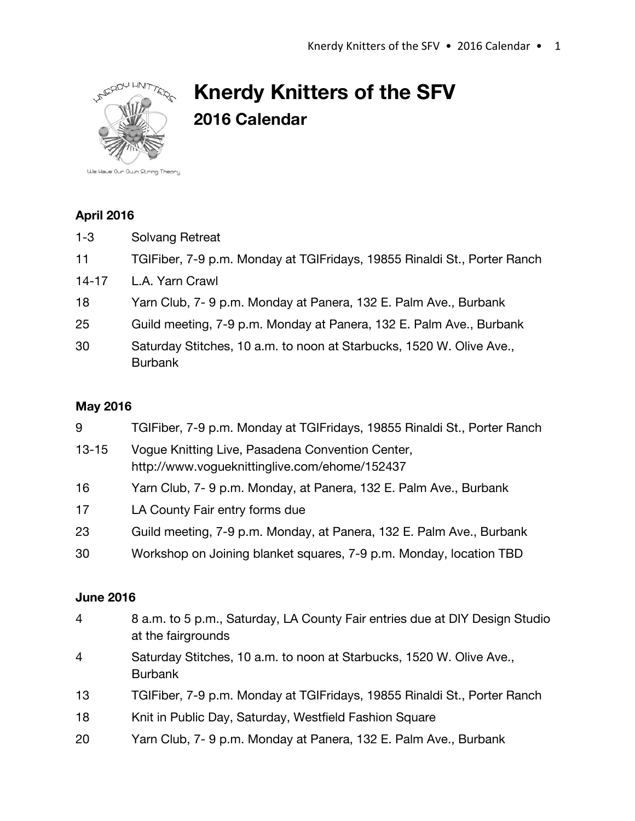

# **Knerdy Knitters of the SFV 2016 Calendar**

### **April 2016**

- 1-3 Solvang Retreat
- 11 TGIFiber, 7-9 p.m. Monday at TGIFridays, 19855 Rinaldi St., Porter Ranch
- 14-17 L.A. Yarn Crawl
- 18 Yarn Club, 7- 9 p.m. Monday at Panera, 132 E. Palm Ave., Burbank
- 25 Guild meeting, 7-9 p.m. Monday at Panera, 132 E. Palm Ave., Burbank
- 30 Saturday Stitches, 10 a.m. to noon at Starbucks, 1520 W. Olive Ave., Burbank

### **May 2016**

| 9         | TGIFiber, 7-9 p.m. Monday at TGIFridays, 19855 Rinaldi St., Porter Ranch                          |
|-----------|---------------------------------------------------------------------------------------------------|
| $13 - 15$ | Vogue Knitting Live, Pasadena Convention Center,<br>http://www.vogueknittinglive.com/ehome/152437 |
| 16        | Yarn Club, 7-9 p.m. Monday, at Panera, 132 E. Palm Ave., Burbank                                  |
| 17        | LA County Fair entry forms due                                                                    |
| 23        | Guild meeting, 7-9 p.m. Monday, at Panera, 132 E. Palm Ave., Burbank                              |
| 30        | Workshop on Joining blanket squares, 7-9 p.m. Monday, location TBD                                |
|           |                                                                                                   |

#### **June 2016**

| $\overline{4}$ | 8 a.m. to 5 p.m., Saturday, LA County Fair entries due at DIY Design Studio<br>at the fairgrounds |
|----------------|---------------------------------------------------------------------------------------------------|
| $\overline{4}$ | Saturday Stitches, 10 a.m. to noon at Starbucks, 1520 W. Olive Ave.,<br><b>Burbank</b>            |
| 13             | TGIFiber, 7-9 p.m. Monday at TGIFridays, 19855 Rinaldi St., Porter Ranch                          |
| 18             | Knit in Public Day, Saturday, Westfield Fashion Square                                            |
| 20             | Yarn Club, 7-9 p.m. Monday at Panera, 132 E. Palm Ave., Burbank                                   |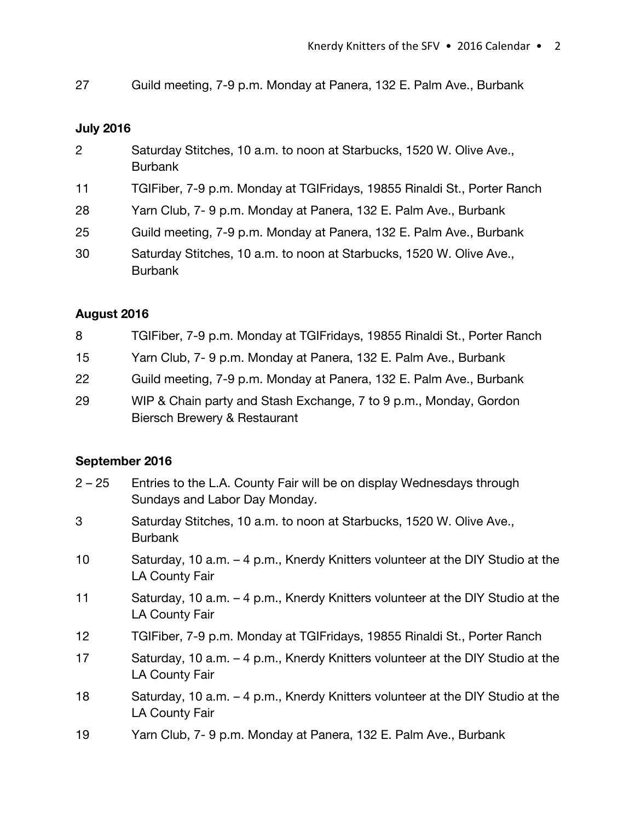27 Guild meeting, 7-9 p.m. Monday at Panera, 132 E. Palm Ave., Burbank

## **July 2016**

| $\overline{2}$ | Saturday Stitches, 10 a.m. to noon at Starbucks, 1520 W. Olive Ave.,<br><b>Burbank</b> |
|----------------|----------------------------------------------------------------------------------------|
| 11             | TGIFiber, 7-9 p.m. Monday at TGIFridays, 19855 Rinaldi St., Porter Ranch               |
| 28             | Yarn Club, 7-9 p.m. Monday at Panera, 132 E. Palm Ave., Burbank                        |
| 25             | Guild meeting, 7-9 p.m. Monday at Panera, 132 E. Palm Ave., Burbank                    |
| 30             | Saturday Stitches, 10 a.m. to noon at Starbucks, 1520 W. Olive Ave.,<br><b>Burbank</b> |

## **August 2016**

| 8  | TGIFiber, 7-9 p.m. Monday at TGIFridays, 19855 Rinaldi St., Porter Ranch |
|----|--------------------------------------------------------------------------|
| 15 | Yarn Club, 7-9 p.m. Monday at Panera, 132 E. Palm Ave., Burbank          |
| 22 | Guild meeting, 7-9 p.m. Monday at Panera, 132 E. Palm Ave., Burbank      |
| 29 | WIP & Chain party and Stash Exchange, 7 to 9 p.m., Monday, Gordon        |
|    | Biersch Brewery & Restaurant                                             |

## **September 2016**

| $2 - 25$ | Entries to the L.A. County Fair will be on display Wednesdays through<br>Sundays and Labor Day Monday. |
|----------|--------------------------------------------------------------------------------------------------------|
| 3        | Saturday Stitches, 10 a.m. to noon at Starbucks, 1520 W. Olive Ave.,<br><b>Burbank</b>                 |
| 10       | Saturday, 10 a.m. - 4 p.m., Knerdy Knitters volunteer at the DIY Studio at the<br>LA County Fair       |
| 11       | Saturday, 10 a.m. - 4 p.m., Knerdy Knitters volunteer at the DIY Studio at the<br>LA County Fair       |
| 12       | TGIFiber, 7-9 p.m. Monday at TGIFridays, 19855 Rinaldi St., Porter Ranch                               |
| 17       | Saturday, 10 a.m. – 4 p.m., Knerdy Knitters volunteer at the DIY Studio at the<br>LA County Fair       |
| 18       | Saturday, 10 a.m. – 4 p.m., Knerdy Knitters volunteer at the DIY Studio at the<br>LA County Fair       |
| 19       | Yarn Club, 7-9 p.m. Monday at Panera, 132 E. Palm Ave., Burbank                                        |